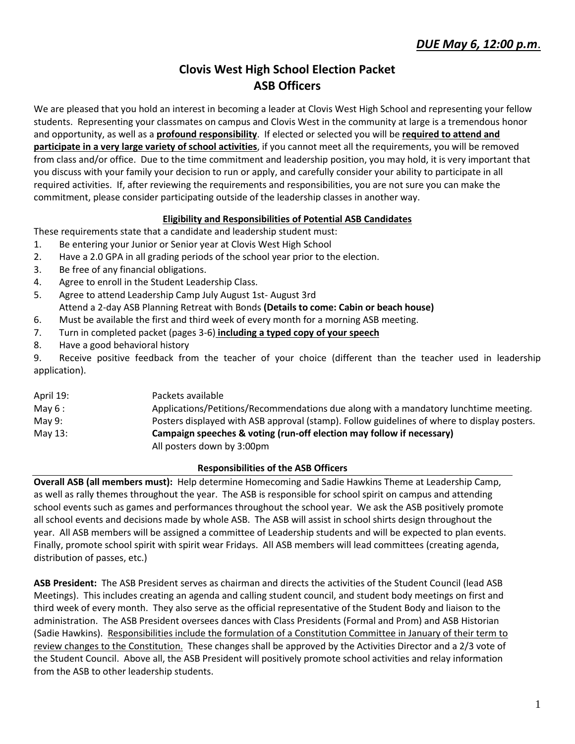# **Clovis West High School Election Packet ASB Officers**

We are pleased that you hold an interest in becoming a leader at Clovis West High School and representing your fellow students. Representing your classmates on campus and Clovis West in the community at large is a tremendous honor and opportunity, as well as a **profound responsibility**. If elected or selected you will be **required to attend and participate in a very large variety of school activities**, if you cannot meet all the requirements, you will be removed from class and/or office. Due to the time commitment and leadership position, you may hold, it is very important that you discuss with your family your decision to run or apply, and carefully consider your ability to participate in all required activities. If, after reviewing the requirements and responsibilities, you are not sure you can make the commitment, please consider participating outside of the leadership classes in another way.

### **Eligibility and Responsibilities of Potential ASB Candidates**

These requirements state that a candidate and leadership student must:

- 1. Be entering your Junior or Senior year at Clovis West High School
- 2. Have a 2.0 GPA in all grading periods of the school year prior to the election.
- 3. Be free of any financial obligations.
- 4. Agree to enroll in the Student Leadership Class.
- 5. Agree to attend Leadership Camp July August 1st- August 3rd
- Attend a 2-day ASB Planning Retreat with Bonds **(Details to come: Cabin or beach house)**
- 6. Must be available the first and third week of every month for a morning ASB meeting.
- 7. Turn in completed packet (pages 3-6) **including a typed copy of your speech**
- 8. Have a good behavioral history

9. Receive positive feedback from the teacher of your choice (different than the teacher used in leadership application).

| April 19: | Packets available                                                                           |
|-----------|---------------------------------------------------------------------------------------------|
| May $6:$  | Applications/Petitions/Recommendations due along with a mandatory lunchtime meeting.        |
| May 9:    | Posters displayed with ASB approval (stamp). Follow guidelines of where to display posters. |
| May 13:   | Campaign speeches & voting (run-off election may follow if necessary)                       |
|           | All posters down by 3:00pm                                                                  |

### **Responsibilities of the ASB Officers**

**Overall ASB (all members must):** Help determine Homecoming and Sadie Hawkins Theme at Leadership Camp, as well as rally themes throughout the year. The ASB is responsible for school spirit on campus and attending school events such as games and performances throughout the school year. We ask the ASB positively promote all school events and decisions made by whole ASB. The ASB will assist in school shirts design throughout the year. All ASB members will be assigned a committee of Leadership students and will be expected to plan events. Finally, promote school spirit with spirit wear Fridays. All ASB members will lead committees (creating agenda, distribution of passes, etc.)

**ASB President:** The ASB President serves as chairman and directs the activities of the Student Council (lead ASB Meetings). This includes creating an agenda and calling student council, and student body meetings on first and third week of every month. They also serve as the official representative of the Student Body and liaison to the administration. The ASB President oversees dances with Class Presidents (Formal and Prom) and ASB Historian (Sadie Hawkins). Responsibilities include the formulation of a Constitution Committee in January of their term to review changes to the Constitution. These changes shall be approved by the Activities Director and a 2/3 vote of the Student Council. Above all, the ASB President will positively promote school activities and relay information from the ASB to other leadership students.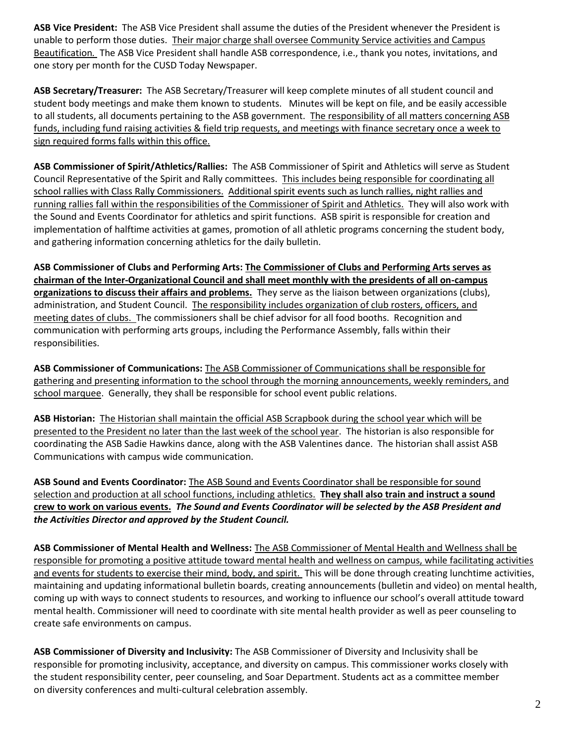**ASB Vice President:** The ASB Vice President shall assume the duties of the President whenever the President is unable to perform those duties. Their major charge shall oversee Community Service activities and Campus Beautification*.* The ASB Vice President shall handle ASB correspondence, i.e., thank you notes, invitations, and one story per month for the CUSD Today Newspaper.

**ASB Secretary/Treasurer:** The ASB Secretary/Treasurer will keep complete minutes of all student council and student body meetings and make them known to students. Minutes will be kept on file, and be easily accessible to all students, all documents pertaining to the ASB government. The responsibility of all matters concerning ASB funds, including fund raising activities & field trip requests, and meetings with finance secretary once a week to sign required forms falls within this office.

**ASB Commissioner of Spirit/Athletics/Rallies:** The ASB Commissioner of Spirit and Athletics will serve as Student Council Representative of the Spirit and Rally committees. This includes being responsible for coordinating all school rallies with Class Rally Commissioners. Additional spirit events such as lunch rallies, night rallies and running rallies fall within the responsibilities of the Commissioner of Spirit and Athletics. They will also work with the Sound and Events Coordinator for athletics and spirit functions. ASB spirit is responsible for creation and implementation of halftime activities at games, promotion of all athletic programs concerning the student body, and gathering information concerning athletics for the daily bulletin.

**ASB Commissioner of Clubs and Performing Arts: The Commissioner of Clubs and Performing Arts serves as chairman of the Inter-Organizational Council and shall meet monthly with the presidents of all on-campus organizations to discuss their affairs and problems.** They serve as the liaison between organizations (clubs), administration, and Student Council. The responsibility includes organization of club rosters, officers, and meeting dates of clubs. The commissioners shall be chief advisor for all food booths. Recognition and communication with performing arts groups, including the Performance Assembly, falls within their responsibilities.

**ASB Commissioner of Communications:** The ASB Commissioner of Communications shall be responsible for gathering and presenting information to the school through the morning announcements, weekly reminders, and school marquee. Generally, they shall be responsible for school event public relations.

**ASB Historian:** The Historian shall maintain the official ASB Scrapbook during the school year which will be presented to the President no later than the last week of the school year. The historian is also responsible for coordinating the ASB Sadie Hawkins dance, along with the ASB Valentines dance. The historian shall assist ASB Communications with campus wide communication.

**ASB Sound and Events Coordinator:** The ASB Sound and Events Coordinator shall be responsible for sound selection and production at all school functions, including athletics. **They shall also train and instruct a sound crew to work on various events.** *The Sound and Events Coordinator will be selected by the ASB President and the Activities Director and approved by the Student Council.*

**ASB Commissioner of Mental Health and Wellness:** The ASB Commissioner of Mental Health and Wellness shall be responsible for promoting a positive attitude toward mental health and wellness on campus, while facilitating activities and events for students to exercise their mind, body, and spirit. This will be done through creating lunchtime activities, maintaining and updating informational bulletin boards, creating announcements (bulletin and video) on mental health, coming up with ways to connect students to resources, and working to influence our school's overall attitude toward mental health. Commissioner will need to coordinate with site mental health provider as well as peer counseling to create safe environments on campus.

**ASB Commissioner of Diversity and Inclusivity:** The ASB Commissioner of Diversity and Inclusivity shall be responsible for promoting inclusivity, acceptance, and diversity on campus. This commissioner works closely with the student responsibility center, peer counseling, and Soar Department. Students act as a committee member on diversity conferences and multi-cultural celebration assembly.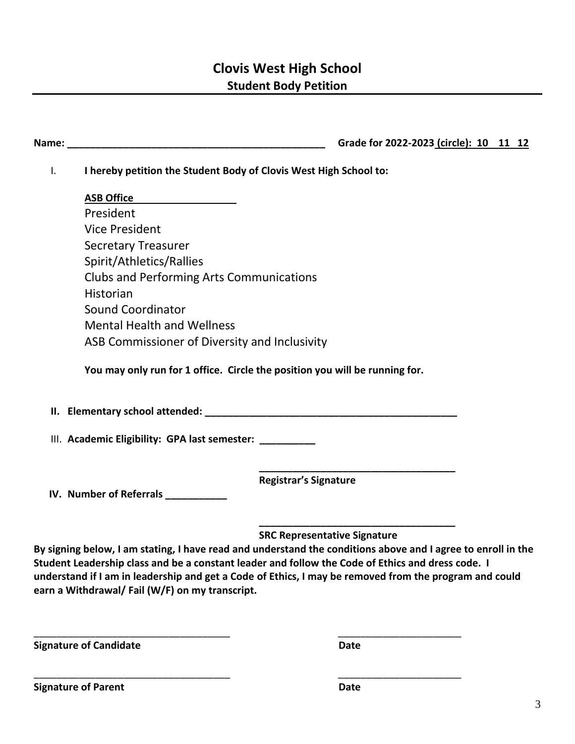# **Clovis West High School Student Body Petition**

**Name: Name: Name: name: name: name: name: name: name: name: name: name: name: name: name: name: name: name: name: name: name: name: n** 

I. **I hereby petition the Student Body of Clovis West High School to:**

**ASB Office** President Vice President Secretary Treasurer Spirit/Athletics/Rallies Clubs and Performing Arts Communications Historian Sound Coordinator Mental Health and Wellness ASB Commissioner of Diversity and Inclusivity

**You may only run for 1 office. Circle the position you will be running for.** 

**II. Elementary school attended: \_\_\_\_\_\_\_\_\_\_\_\_\_\_\_\_\_\_\_\_\_\_\_\_\_\_\_\_\_\_\_\_\_\_\_\_\_\_\_\_\_\_\_\_\_**

III. **Academic Eligibility: GPA last semester: \_\_\_\_\_\_\_\_\_\_**

 **Registrar's Signature**

 **IV. Number of Referrals \_\_\_\_\_\_\_\_\_\_\_**

 **\_\_\_\_\_\_\_\_\_\_\_\_\_\_\_\_\_\_\_\_\_\_\_\_\_\_\_\_\_\_\_\_\_\_\_ SRC Representative Signature**

 **\_\_\_\_\_\_\_\_\_\_\_\_\_\_\_\_\_\_\_\_\_\_\_\_\_\_\_\_\_\_\_\_\_\_\_**

**By signing below, I am stating, I have read and understand the conditions above and I agree to enroll in the Student Leadership class and be a constant leader and follow the Code of Ethics and dress code. I understand if I am in leadership and get a Code of Ethics, I may be removed from the program and could earn a Withdrawal/ Fail (W/F) on my transcript.** 

\_\_\_\_\_\_\_\_\_\_\_\_\_\_\_\_\_\_\_\_\_\_\_\_\_\_\_\_\_\_\_\_\_\_\_ \_\_\_\_\_\_\_\_\_\_\_\_\_\_\_\_\_\_\_\_\_\_

\_\_\_\_\_\_\_\_\_\_\_\_\_\_\_\_\_\_\_\_\_\_\_\_\_\_\_\_\_\_\_\_\_\_\_ \_\_\_\_\_\_\_\_\_\_\_\_\_\_\_\_\_\_\_\_\_\_

**Signature of Candidate Date** Date

**Signature of Parent Date**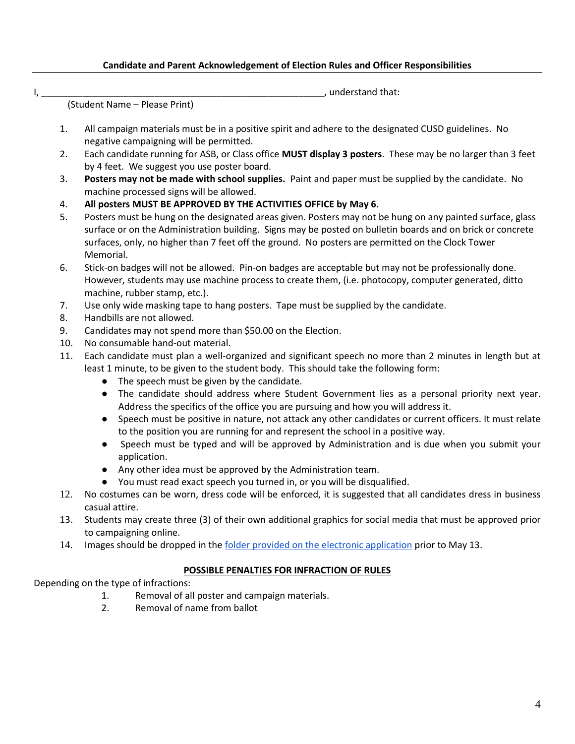#### **Candidate and Parent Acknowledgement of Election Rules and Officer Responsibilities**

I, \_\_\_\_\_\_\_\_\_\_\_\_\_\_\_\_\_\_\_\_\_\_\_\_\_\_\_\_\_\_\_\_\_\_\_\_\_\_\_\_\_\_\_\_\_\_\_\_\_\_\_\_\_\_\_, understand that:

(Student Name – Please Print)

- 1. All campaign materials must be in a positive spirit and adhere to the designated CUSD guidelines. No negative campaigning will be permitted.
- 2. Each candidate running for ASB, or Class office **MUST display 3 posters**. These may be no larger than 3 feet by 4 feet. We suggest you use poster board.
- 3. **Posters may not be made with school supplies.** Paint and paper must be supplied by the candidate. No machine processed signs will be allowed.
- 4. **All posters MUST BE APPROVED BY THE ACTIVITIES OFFICE by May 6.**
- 5. Posters must be hung on the designated areas given. Posters may not be hung on any painted surface, glass surface or on the Administration building. Signs may be posted on bulletin boards and on brick or concrete surfaces, only, no higher than 7 feet off the ground. No posters are permitted on the Clock Tower Memorial.
- 6. Stick-on badges will not be allowed. Pin-on badges are acceptable but may not be professionally done. However, students may use machine process to create them, (i.e. photocopy, computer generated, ditto machine, rubber stamp, etc.).
- 7. Use only wide masking tape to hang posters. Tape must be supplied by the candidate.
- 8. Handbills are not allowed.
- 9. Candidates may not spend more than \$50.00 on the Election.
- 10. No consumable hand-out material.
- 11. Each candidate must plan a well-organized and significant speech no more than 2 minutes in length but at least 1 minute, to be given to the student body. This should take the following form:
	- The speech must be given by the candidate.
	- The candidate should address where Student Government lies as a personal priority next year. Address the specifics of the office you are pursuing and how you will address it.
	- Speech must be positive in nature, not attack any other candidates or current officers. It must relate to the position you are running for and represent the school in a positive way.
	- Speech must be typed and will be approved by Administration and is due when you submit your application.
	- Any other idea must be approved by the Administration team.
	- You must read exact speech you turned in, or you will be disqualified.
- 12. No costumes can be worn, dress code will be enforced, it is suggested that all candidates dress in business casual attire.
- 13. Students may create three (3) of their own additional graphics for social media that must be approved prior to campaigning online.
- 14. Images should be dropped in the [folder provided on the electronic application](https://drive.google.com/drive/folders/1_O3p7iLJ-7wdfkG5Z1_VByEoZrEmtu2g?usp=sharing) prior to May 13.

### **POSSIBLE PENALTIES FOR INFRACTION OF RULES**

Depending on the type of infractions:

- 1. Removal of all poster and campaign materials.
- 2. Removal of name from ballot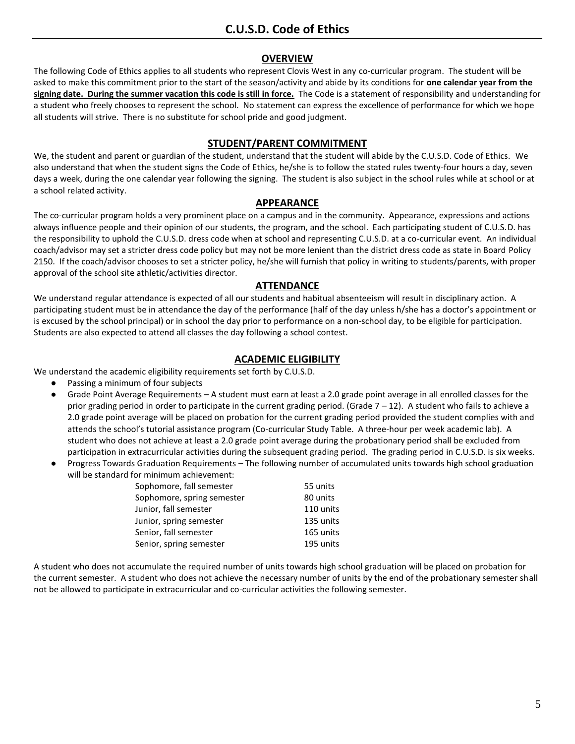#### **OVERVIEW**

The following Code of Ethics applies to all students who represent Clovis West in any co-curricular program. The student will be asked to make this commitment prior to the start of the season/activity and abide by its conditions for **one calendar year from the signing date. During the summer vacation this code is still in force.** The Code is a statement of responsibility and understanding for a student who freely chooses to represent the school. No statement can express the excellence of performance for which we hope all students will strive. There is no substitute for school pride and good judgment.

#### **STUDENT/PARENT COMMITMENT**

We, the student and parent or guardian of the student, understand that the student will abide by the C.U.S.D. Code of Ethics. We also understand that when the student signs the Code of Ethics, he/she is to follow the stated rules twenty-four hours a day, seven days a week, during the one calendar year following the signing. The student is also subject in the school rules while at school or at a school related activity.

#### **APPEARANCE**

The co-curricular program holds a very prominent place on a campus and in the community. Appearance, expressions and actions always influence people and their opinion of our students, the program, and the school. Each participating student of C.U.S.D. has the responsibility to uphold the C.U.S.D. dress code when at school and representing C.U.S.D. at a co-curricular event. An individual coach/advisor may set a stricter dress code policy but may not be more lenient than the district dress code as state in Board Policy 2150. If the coach/advisor chooses to set a stricter policy, he/she will furnish that policy in writing to students/parents, with proper approval of the school site athletic/activities director.

#### **ATTENDANCE**

We understand regular attendance is expected of all our students and habitual absenteeism will result in disciplinary action. A participating student must be in attendance the day of the performance (half of the day unless h/she has a doctor's appointment or is excused by the school principal) or in school the day prior to performance on a non-school day, to be eligible for participation. Students are also expected to attend all classes the day following a school contest.

#### **ACADEMIC ELIGIBILITY**

We understand the academic eligibility requirements set forth by C.U.S.D.

- Passing a minimum of four subjects
- Grade Point Average Requirements A student must earn at least a 2.0 grade point average in all enrolled classes for the prior grading period in order to participate in the current grading period. (Grade 7 – 12). A student who fails to achieve a 2.0 grade point average will be placed on probation for the current grading period provided the student complies with and attends the school's tutorial assistance program (Co-curricular Study Table. A three-hour per week academic lab). A student who does not achieve at least a 2.0 grade point average during the probationary period shall be excluded from participation in extracurricular activities during the subsequent grading period. The grading period in C.U.S.D. is six weeks.
- Progress Towards Graduation Requirements The following number of accumulated units towards high school graduation will be standard for minimum achievement:

| Sophomore, fall semester   | 55 units  |
|----------------------------|-----------|
| Sophomore, spring semester | 80 units  |
| Junior, fall semester      | 110 units |
| Junior, spring semester    | 135 units |
| Senior, fall semester      | 165 units |
| Senior, spring semester    | 195 units |

A student who does not accumulate the required number of units towards high school graduation will be placed on probation for the current semester. A student who does not achieve the necessary number of units by the end of the probationary semester shall not be allowed to participate in extracurricular and co-curricular activities the following semester.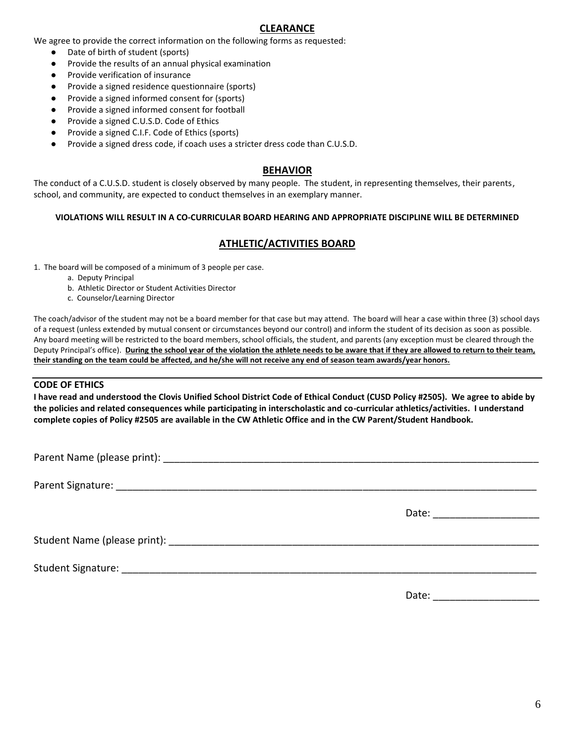### **CLEARANCE**

We agree to provide the correct information on the following forms as requested:

- Date of birth of student (sports)
- Provide the results of an annual physical examination
- Provide verification of insurance
- Provide a signed residence questionnaire (sports)
- Provide a signed informed consent for (sports)
- Provide a signed informed consent for football
- Provide a signed C.U.S.D. Code of Ethics
- Provide a signed C.I.F. Code of Ethics (sports)
- Provide a signed dress code, if coach uses a stricter dress code than C.U.S.D.

#### **BEHAVIOR**

The conduct of a C.U.S.D. student is closely observed by many people. The student, in representing themselves, their parents, school, and community, are expected to conduct themselves in an exemplary manner.

#### **VIOLATIONS WILL RESULT IN A CO-CURRICULAR BOARD HEARING AND APPROPRIATE DISCIPLINE WILL BE DETERMINED**

### **ATHLETIC/ACTIVITIES BOARD**

1. The board will be composed of a minimum of 3 people per case.

- a. Deputy Principal
- b. Athletic Director or Student Activities Director
- c. Counselor/Learning Director

The coach/advisor of the student may not be a board member for that case but may attend. The board will hear a case within three (3) school days of a request (unless extended by mutual consent or circumstances beyond our control) and inform the student of its decision as soon as possible. Any board meeting will be restricted to the board members, school officials, the student, and parents (any exception must be cleared through the Deputy Principal's office). **During the school year of the violation the athlete needs to be aware that if they are allowed to return to their team, their standing on the team could be affected, and he/she will not receive any end of season team awards/year honors.**

#### **CODE OF ETHICS**

**I have read and understood the Clovis Unified School District Code of Ethical Conduct (CUSD Policy #2505). We agree to abide by the policies and related consequences while participating in interscholastic and co-curricular athletics/activities. I understand complete copies of Policy #2505 are available in the CW Athletic Office and in the CW Parent/Student Handbook.**

|  | Date: the contract of the contract of the contract of the contract of the contract of the contract of the contract of the contract of the contract of the contract of the contract of the contract of the contract of the cont |  |  |
|--|--------------------------------------------------------------------------------------------------------------------------------------------------------------------------------------------------------------------------------|--|--|
|  |                                                                                                                                                                                                                                |  |  |

Student Signature: **Example 2018** 

Date: \_\_\_\_\_\_\_\_\_\_\_\_\_\_\_\_\_\_\_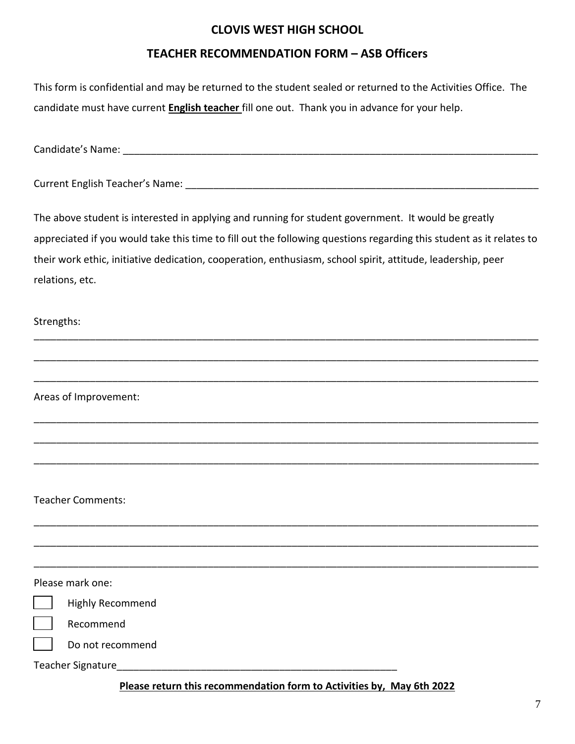## **CLOVIS WEST HIGH SCHOOL**

## **TEACHER RECOMMENDATION FORM – ASB Officers**

| This form is confidential and may be returned to the student sealed or returned to the Activities Office. The       |
|---------------------------------------------------------------------------------------------------------------------|
| candidate must have current English teacher fill one out. Thank you in advance for your help.                       |
|                                                                                                                     |
|                                                                                                                     |
|                                                                                                                     |
| The above student is interested in applying and running for student government. It would be greatly                 |
| appreciated if you would take this time to fill out the following questions regarding this student as it relates to |
| their work ethic, initiative dedication, cooperation, enthusiasm, school spirit, attitude, leadership, peer         |
| relations, etc.                                                                                                     |
| Strengths:                                                                                                          |
|                                                                                                                     |
|                                                                                                                     |
| Areas of Improvement:                                                                                               |
|                                                                                                                     |
|                                                                                                                     |
|                                                                                                                     |
| <b>Teacher Comments:</b>                                                                                            |
|                                                                                                                     |
|                                                                                                                     |
| Please mark one:                                                                                                    |
| <b>Highly Recommend</b>                                                                                             |
| Recommend                                                                                                           |
| Do not recommend                                                                                                    |
| Teacher Signature                                                                                                   |
|                                                                                                                     |

**Please return this recommendation form to Activities by, May 6th 2022**